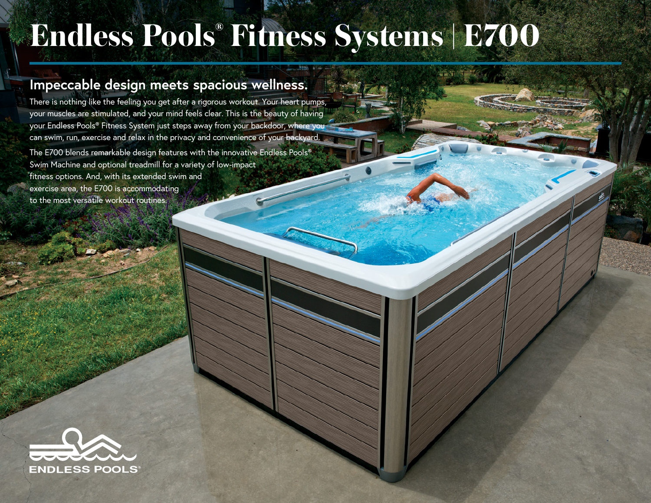## **Endless Pools® Fitness Systems | E700**

## **Impeccable design meets spacious wellness.**

There is nothing like the feeling you get after a rigorous workout. Your heart pumps, your muscles are stimulated, and your mind feels clear. This is the beauty of having your Endless Pools® Fitness System just steps away from your backdoor, where you can swim, run, exercise and relax in the privacy and convenience of your backyard. The E700 blends remarkable design features with the innovative Endless Pools® Swim Machine and optional treadmill for a variety of low-impact fitness options. And, with its extended swim and exercise area, the E700 is accommodating to the most versatile workout routines.